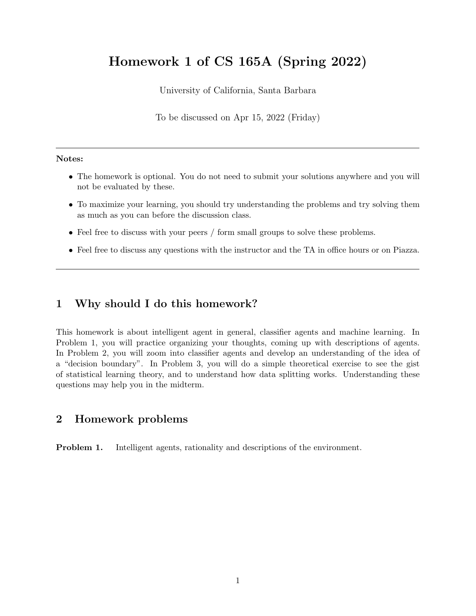## Homework 1 of CS 165A (Spring 2022)

University of California, Santa Barbara

To be discussed on Apr 15, 2022 (Friday)

## Notes:

- The homework is optional. You do not need to submit your solutions anywhere and you will not be evaluated by these.
- To maximize your learning, you should try understanding the problems and try solving them as much as you can before the discussion class.
- Feel free to discuss with your peers / form small groups to solve these problems.
- Feel free to discuss any questions with the instructor and the TA in office hours or on Piazza.

## 1 Why should I do this homework?

This homework is about intelligent agent in general, classifier agents and machine learning. In Problem 1, you will practice organizing your thoughts, coming up with descriptions of agents. In Problem 2, you will zoom into classifier agents and develop an understanding of the idea of a "decision boundary". In Problem 3, you will do a simple theoretical exercise to see the gist of statistical learning theory, and to understand how data splitting works. Understanding these questions may help you in the midterm.

## 2 Homework problems

Problem 1. Intelligent agents, rationality and descriptions of the environment.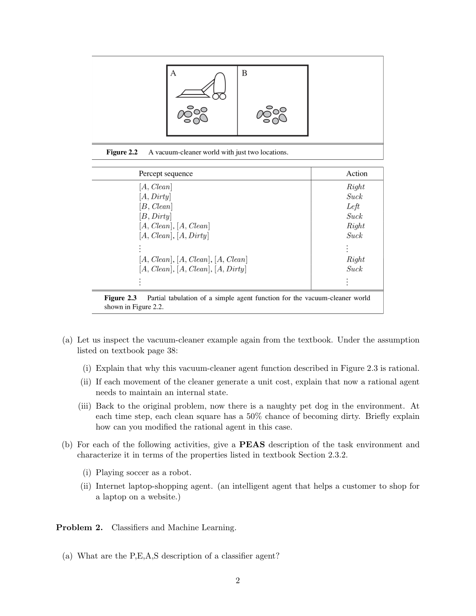

Figure 2.2 A vacuum-cleaner world with just two locations.

| Percept sequence                                                                         | Action |
|------------------------------------------------------------------------------------------|--------|
| [A, Clean]                                                                               | Right  |
| [A, Dirty]                                                                               | Suck   |
| [B, Clean]                                                                               | Left   |
| [B, Dirty]                                                                               | Suck   |
| [A, Clean], [A, Clean]                                                                   | Right  |
| [A, Clean], [A, Dirty]                                                                   | Suck   |
|                                                                                          |        |
| [A, Clean], [A, Clean], [A, Clean]                                                       | Right  |
| [A, Clean], [A, Clean], [A, Dirty]                                                       | Suck   |
|                                                                                          |        |
| Figure 2.3<br>Partial tabulation of a simple agent function for the vacuum-cleaner world |        |

- (a) Let us inspect the vacuum-cleaner example again from the textbook. Under the assumption listed on textbook page 38:
	- (i) Explain that why this vacuum-cleaner agent function described in Figure 2.3 is rational.
	- (ii) If each movement of the cleaner generate a unit cost, explain that now a rational agent needs to maintain an internal state.
	- (iii) Back to the original problem, now there is a naughty pet dog in the environment. At each time step, each clean square has a 50% chance of becoming dirty. Briefly explain how can you modified the rational agent in this case.
- (b) For each of the following activities, give a PEAS description of the task environment and characterize it in terms of the properties listed in textbook Section 2.3.2.
	- (i) Playing soccer as a robot.

shown in Figure 2.2.

 $=$ 

(ii) Internet laptop-shopping agent. (an intelligent agent that helps a customer to shop for a laptop on a website.)

Problem 2. Classifiers and Machine Learning.

(a) What are the P,E,A,S description of a classifier agent?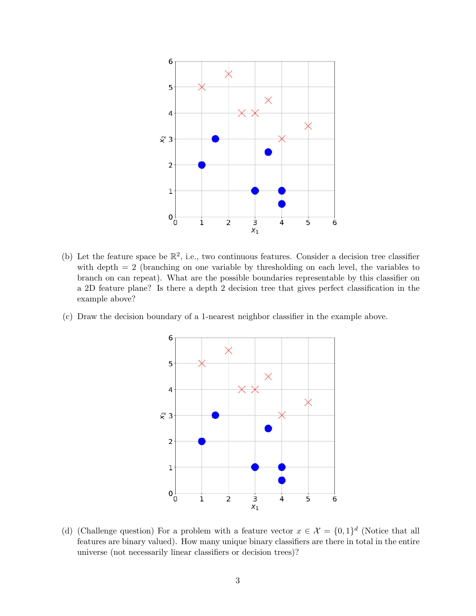

- (b) Let the feature space be  $\mathbb{R}^2$ , i.e., two continuous features. Consider a decision tree classifier with depth  $= 2$  (branching on one variable by thresholding on each level, the variables to branch on can repeat). What are the possible boundaries representable by this classifier on a 2D feature plane? Is there a depth 2 decision tree that gives perfect classification in the example above?
- (c) Draw the decision boundary of a 1-nearest neighbor classifier in the example above.



(d) (Challenge question) For a problem with a feature vector  $x \in \mathcal{X} = \{0,1\}^d$  (Notice that all features are binary valued). How many unique binary classifiers are there in total in the entire universe (not necessarily linear classifiers or decision trees)?